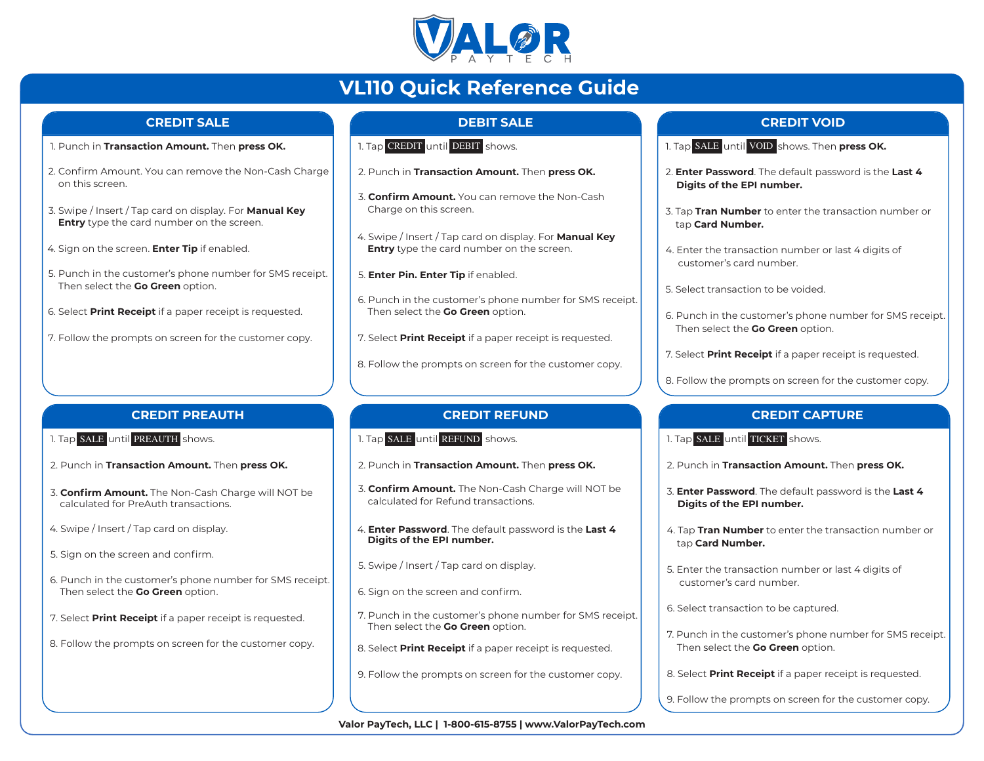

# **VL110 Quick Reference Guide**

#### **CREDIT SALE**

- 1. Punch in **Transaction Amount.** Then **press OK.**
- 2. Confirm Amount. You can remove the Non-Cash Charge on this screen.
- 3. Swipe / Insert / Tap card on display. For **Manual Key Entry** type the card number on the screen.
- 4. Sign on the screen. **Enter Tip** if enabled.
- 5. Punch in the customer's phone number for SMS receipt. Then select the **Go Green** option.
- 6. Select **Print Receipt** if a paper receipt is requested.
- 7. Follow the prompts on screen for the customer copy.

# **DEBIT SALE**

- 1. Tap CREDIT <mark>until</mark> DEBIT <mark>shows.</mark>
- 2. Punch in **Transaction Amount.** Then **press OK.**
- 3. **Confirm Amount.** You can remove the Non-Cash Charge on this screen.
- 4. Swipe / Insert / Tap card on display. For **Manual Key Entry** type the card number on the screen.
- 5. **Enter Pin. Enter Tip** if enabled.
- 6. Punch in the customer's phone number for SMS receipt. Then select the **Go Green** option.
- 7. Select **Print Receipt** if a paper receipt is requested.
- 8. Follow the prompts on screen for the customer copy.

#### **CREDIT PREAUTH**

- 1. Tap SALE <mark>until</mark> PREAUTH shows.
- 2. Punch in **Transaction Amount.** Then **press OK.**
- 3. **Confirm Amount.** The Non-Cash Charge will NOT be calculated for PreAuth transactions.
- 4. Swipe / Insert / Tap card on display.
- 5. Sign on the screen and confirm.
- 6. Punch in the customer's phone number for SMS receipt. Then select the **Go Green** option.
- 7. Select **Print Receipt** if a paper receipt is requested.
- 8. Follow the prompts on screen for the customer copy.

# **CREDIT REFUND**

- 1. Tap SALE until REFUND shows.
- 2. Punch in **Transaction Amount.** Then **press OK.**
- 3. **Confirm Amount.** The Non-Cash Charge will NOT be calculated for Refund transactions.
- 4. **Enter Password**. The default password is the **Last 4 Digits of the EPI number.**
- 5. Swipe / Insert / Tap card on display.
- 6. Sign on the screen and confirm.
- 7. Punch in the customer's phone number for SMS receipt. Then select the **Go Green** option.
- 8. Select **Print Receipt** if a paper receipt is requested.
- 9. Follow the prompts on screen for the customer copy.

## **CREDIT VOID**

- 1. Tap SALE <mark>until</mark> VOID <mark>shows. Then **press OK.**</mark>
- 2. **Enter Password**. The default password is the **Last 4 Digits of the EPI number.**
- 3. Tap **Tran Number** to enter the transaction number or tap **Card Number.**
- 4. Enter the transaction number or last 4 digits of customer's card number.
- 5. Select transaction to be voided.
- 6. Punch in the customer's phone number for SMS receipt. Then select the **Go Green** option.
- 7. Select **Print Receipt** if a paper receipt is requested.
- 8. Follow the prompts on screen for the customer copy.

# **CREDIT CAPTURE**

- 1. Tap SALE until TICKET shows.
- 2. Punch in **Transaction Amount.** Then **press OK.**
- 3. **Enter Password**. The default password is the **Last 4 Digits of the EPI number.**
- 4. Tap **Tran Number** to enter the transaction number or tap **Card Number.**
- 5. Enter the transaction number or last 4 digits of customer's card number.
- 6. Select transaction to be captured.
- 7. Punch in the customer's phone number for SMS receipt. Then select the **Go Green** option.
- 8. Select **Print Receipt** if a paper receipt is requested.
- 9. Follow the prompts on screen for the customer copy.

**Valor PayTech, LLC | 1-800-615-8755 | www.ValorPayTech.com**